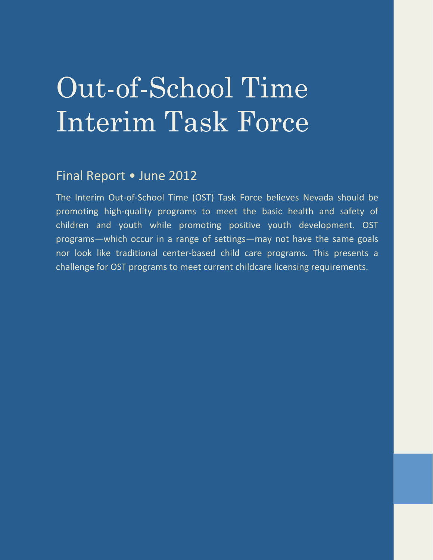# Out-of-School Time Interim Task Force

# Final Report • June 2012

The Interim Out-of-School Time (OST) Task Force believes Nevada should be promoting high-quality programs to meet the basic health and safety of children and youth while promoting positive youth development. OST programs—which occur in a range of settings—may not have the same goals nor look like traditional center-based child care programs. This presents a challenge for OST programs to meet current childcare licensing requirements.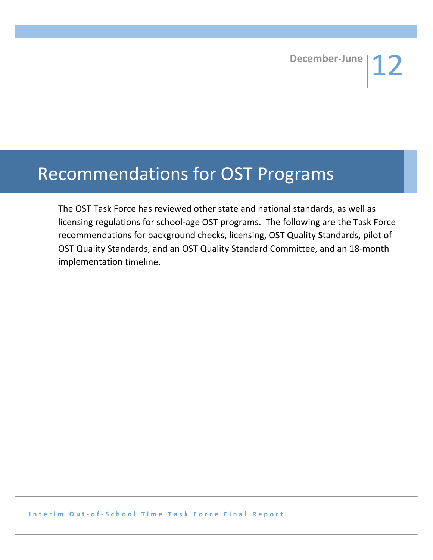# Recommendations for OST Programs

The OST Task Force has reviewed other state and national standards, as well as licensing regulations for school-age OST programs. The following are the Task Force recommendations for background checks, licensing, OST Quality Standards, pilot of OST Quality Standards, and an OST Quality Standard Committee, and an 18-month implementation timeline.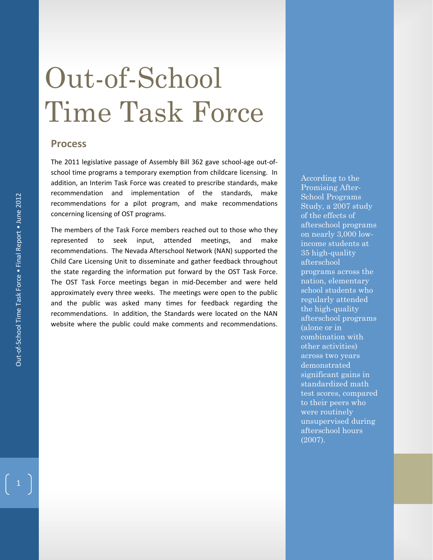# Out-of-School Time Task Force

# **Process**

The 2011 legislative passage of Assembly Bill 362 gave school-age out-ofschool time programs a temporary exemption from childcare licensing. In addition, an Interim Task Force was created to prescribe standards, make recommendation and implementation of the standards, make recommendations for a pilot program, and make recommendations concerning licensing of OST programs.

The members of the Task Force members reached out to those who they represented to seek input, attended meetings, and make recommendations. The Nevada Afterschool Network (NAN) supported the Child Care Licensing Unit to disseminate and gather feedback throughout the state regarding the information put forward by the OST Task Force. The OST Task Force meetings began in mid-December and were held approximately every three weeks. The meetings were open to the public and the public was asked many times for feedback regarding the recommendations. In addition, the Standards were located on the NAN website where the public could make comments and recommendations.

According to the Promising After-School Programs Study, a 2007 study of the effects of afterschool programs on nearly 3,000 lowincome students at 35 high-quality afterschool programs across the nation, elementary school students who regularly attended the high-quality afterschool programs (alone or in combination with other activities) across two years demonstrated significant gains in standardized math test scores, compared to their peers who were routinely unsupervised during afterschool hours (2007).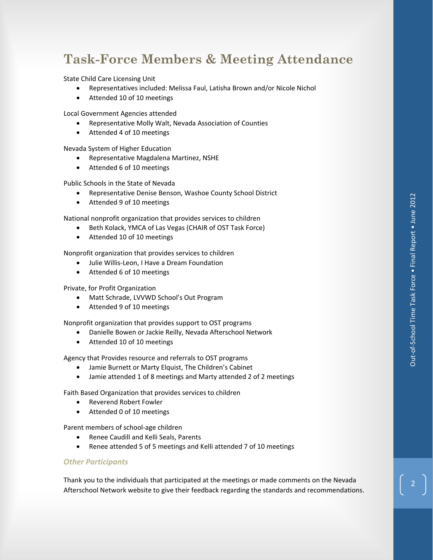# **Task-Force Members & Meeting Attendance**

State Child Care Licensing Unit

- ! Representatives included: Melissa Faul, Latisha Brown and/or Nicole Nichol
- Attended 10 of 10 meetings

Local Government Agencies attended

- ! Representative Molly Walt, Nevada Association of Counties
- Attended 4 of 10 meetings

Nevada System of Higher Education! !

- ! Representative Magdalena Martinez, NSHE
- Attended 6 of 10 meetings

Public Schools in the State of Nevada

- ! Representative Denise Benson, Washoe County School District
- Attended 9 of 10 meetings

National nonprofit organization that provides services to children

- ! Beth Kolack, YMCA of Las Vegas (CHAIR of OST Task Force)
- Attended 10 of 10 meetings

Nonprofit organization that provides services to children

- $\bullet$  Julie Willis-Leon, I Have a Dream Foundation
- Attended 6 of 10 meetings

Private, for Profit Organization

- Matt Schrade, LVVWD School's Out Program
- Attended 9 of 10 meetings

Nonprofit organization that provides support to OST programs

- . Danielle Bowen or Jackie Reilly, Nevada Afterschool Network
- Attended 10 of 10 meetings

Agency that Provides resource and referrals to OST programs

- Jamie Burnett or Marty Elquist, The Children's Cabinet
- ! Jamie attended 1 of 8 meetings and Marty attended 2 of 2 meetings

Faith Based Organization that provides services to children

- Reverend Robert Fowler
- Attended 0 of 10 meetings

Parent members of school-age children

- Renee Caudill and Kelli Seals, Parents
- Renee attended 5 of 5 meetings and Kelli attended 7 of 10 meetings

#### *Other Participants!!*

Thank you to the individuals that participated at the meetings or made comments on the Nevada Afterschool Network website to give their feedback regarding the standards and recommendations.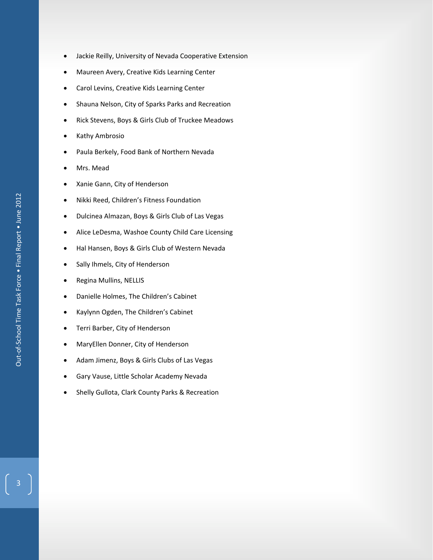Out-of-School Time Task Force . Final Report . June 2012 Out"of"School Time Task Force • Final Report • June 2012

- ! Jackie Reilly, University of Nevada Cooperative Extension
- ! Maureen Avery, Creative Kids Learning Center
- **•** Carol Levins, Creative Kids Learning Center
- **.** Shauna Nelson, City of Sparks Parks and Recreation
- . Rick Stevens, Boys & Girls Club of Truckee Meadows
- Kathy Ambrosio
- . Paula Berkely, Food Bank of Northern Nevada
- Mrs. Mead
- Xanie Gann, City of Henderson
- . Nikki Reed, Children's Fitness Foundation
- ! Dulcinea Almazan, Boys & Girls Club of Las Vegas
- Alice LeDesma, Washoe County Child Care Licensing
- . Hal Hansen, Boys & Girls Club of Western Nevada
- Sally Ihmels, City of Henderson
- Regina Mullins, NELLIS
- Danielle Holmes, The Children's Cabinet
- ! Kaylynn Ogden, The Children's Cabinet
- Terri Barber, City of Henderson
- MaryEllen Donner, City of Henderson
- ! Adam Jimenz, Boys & Girls Clubs of Las Vegas
- **.** Gary Vause, Little Scholar Academy Nevada
- **.** Shelly Gullota, Clark County Parks & Recreation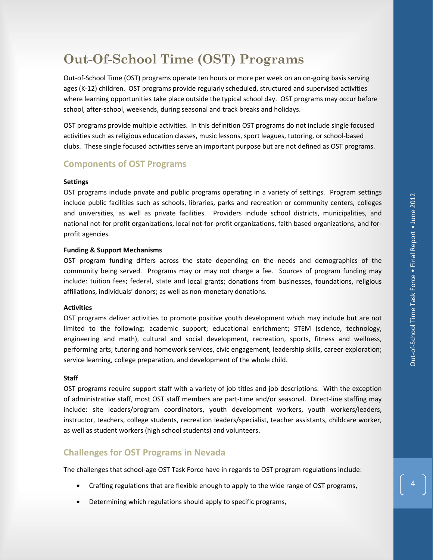# **Out-Of-School Time (OST) Programs**

Out-of-School Time (OST) programs operate ten hours or more per week on an on-going basis serving ages (K-12) children. OST programs provide regularly scheduled, structured and supervised activities where learning opportunities take place outside the typical school day. OST programs may occur before school, after-school, weekends, during seasonal and track breaks and holidays.

OST programs provide multiple activities. In this definition OST programs do not include single focused activities such as religious education classes, music lessons, sport leagues, tutoring, or school-based clubs. These single focused activities serve an important purpose but are not defined as OST programs.

# **Components of OST Programs**

#### **Settings**

OST programs include private and public programs operating in a variety of settings. Program settings include public facilities such as schools, libraries, parks and recreation or community centers, colleges and universities, as well as private facilities. Providers include school districts, municipalities, and national not-for profit organizations, local not-for-profit organizations, faith based organizations, and forprofit agencies.

#### **Funding & Support Mechanisms**

OST program funding differs across the state depending on the needs and demographics of the community being served. Programs may or may not charge a fee. Sources of program funding may include: tuition fees; federal, state and local grants; donations from businesses, foundations, religious affiliations, individuals' donors; as well as non-monetary donations.

#### **Activities**

OST programs deliver activities to promote positive youth development which may include but are not limited to the following: academic support; educational enrichment; STEM (science, technology, engineering and math), cultural and social development, recreation, sports, fitness and wellness, performing arts; tutoring and homework services, civic engagement, leadership skills, career exploration; service learning, college preparation, and development of the whole child.

#### **Staff**

OST programs require support staff with a variety of job titles and job descriptions. With the exception of administrative staff, most OST staff members are part-time and/or seasonal. Direct-line staffing may include: site leaders/program coordinators, youth development workers, youth workers/leaders, instructor, teachers, college students, recreation leaders/specialist, teacher assistants, childcare worker, as well as student workers (high school students) and volunteers.

# **Challenges for OST Programs in Nevada**

The challenges that school-age OST Task Force have in regards to OST program regulations include:

- ! Crafting regulations that are flexible enough to apply to the wide range of OST programs,
- ! Determining which regulations should apply to specific programs,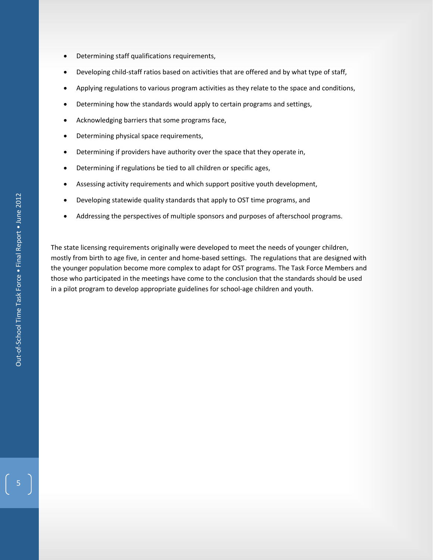- ! Determining staff qualifications requirements,
- Developing child-staff ratios based on activities that are offered and by what type of staff,
- . Applying regulations to various program activities as they relate to the space and conditions,
- ! Determining how the standards would apply to certain programs and settings,
- ! Acknowledging barriers that some programs face,
- Determining physical space requirements,
- . Determining if providers have authority over the space that they operate in,
- Determining if regulations be tied to all children or specific ages,
- . Assessing activity requirements and which support positive youth development,
- ! Developing statewide quality standards that apply to OST time programs, and
- ! Addressing the perspectives of multiple sponsors and purposes of afterschool programs.!!!

The state licensing requirements originally were developed to meet the needs of younger children, mostly from birth to age five, in center and home-based settings. The regulations that are designed with the younger population become more complex to adapt for OST programs. The Task Force Members and those who participated in the meetings have come to the conclusion that the standards should be used in a pilot program to develop appropriate guidelines for school-age children and youth.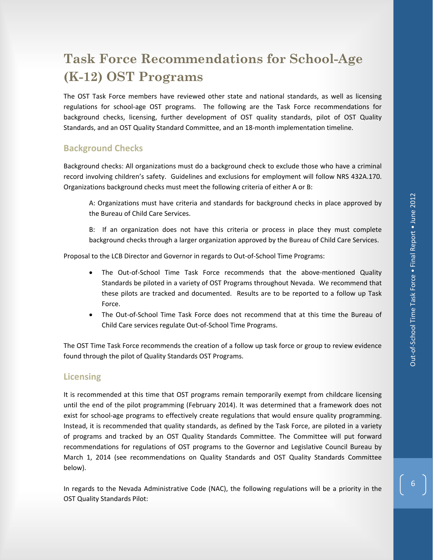# **Task Force Recommendations for School-Age (K-12) OST Programs**

The OST Task Force members have reviewed other state and national standards, as well as licensing regulations for school-age OST programs. The following are the Task Force recommendations for background checks, licensing, further development of OST quality standards, pilot of OST Quality Standards, and an OST Quality Standard Committee, and an 18-month implementation timeline.

# **Background Checks**

Background checks: All organizations must do a background check to exclude those who have a criminal record involving children's safety. Guidelines and exclusions for employment will follow NRS 432A.170. Organizations background checks must meet the following criteria of either A or B:

A: Organizations must have criteria and standards for background checks in place approved by the Bureau of Child Care Services.

B: If an organization does not have this criteria or process in place they must complete background checks through a larger organization approved by the Bureau of Child Care Services.

Proposal to the LCB Director and Governor in regards to Out-of-School Time Programs:

- . The Out-of-School Time Task Force recommends that the above-mentioned Quality Standards be piloted in a variety of OST Programs throughout Nevada. We recommend that these pilots are tracked and documented. Results are to be reported to a follow up Task Force.
- The Out-of-School Time Task Force does not recommend that at this time the Bureau of Child Care services regulate Out-of-School Time Programs.

The OST Time Task Force recommends the creation of a follow up task force or group to review evidence found through the pilot of Quality Standards OST Programs.

## **Licensing**

It is recommended at this time that OST programs remain temporarily exempt from childcare licensing until the end of the pilot programming (February 2014). It was determined that a framework does not exist for school-age programs to effectively create regulations that would ensure quality programming. Instead, it is recommended that quality standards, as defined by the Task Force, are piloted in a variety of programs and tracked by an OST Quality Standards Committee. The Committee will put forward recommendations for regulations of OST programs to the Governor and Legislative Council Bureau by March 1, 2014 (see recommendations on Quality Standards and OST Quality Standards Committee below).

In regards to the Nevada Administrative Code (NAC), the following regulations will be a priority in the OST Quality Standards Pilot: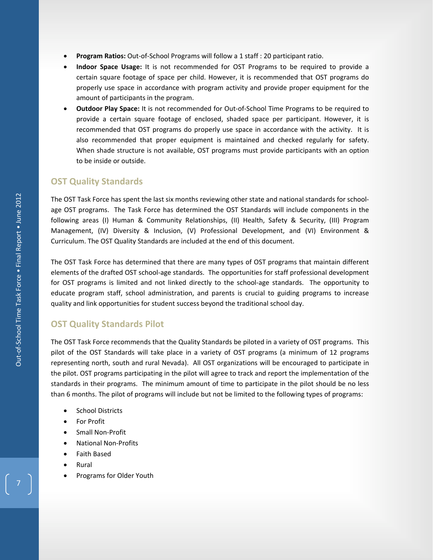- **Program Ratios:** Out-of-School Programs will follow a 1 staff : 20 participant ratio.
- ! **Indoor Space Usage:** It is not recommended for OST Programs to be required to provide a certain square footage of space per child. However, it is recommended that OST programs do properly use space in accordance with program activity and provide proper equipment for the amount of participants in the program.
- **Outdoor Play Space:** It is not recommended for Out-of-School Time Programs to be required to provide a certain square footage of enclosed, shaded space per participant. However, it is recommended that OST programs do properly use space in accordance with the activity. It is also recommended that proper equipment is maintained and checked regularly for safety. When shade structure is not available, OST programs must provide participants with an option to be inside or outside.

# **OST Quality Standards**

The OST Task Force has spent the last six months reviewing other state and national standards for schoolage OST programs. The Task Force has determined the OST Standards will include components in the following areas (I) Human & Community Relationships, (II) Health, Safety & Security, (III) Program Management, (IV) Diversity & Inclusion, (V) Professional Development, and (VI) Environment & Curriculum. The OST Quality Standards are included at the end of this document.

The OST Task Force has determined that there are many types of OST programs that maintain different elements of the drafted OST school-age standards. The opportunities for staff professional development for OST programs is limited and not linked directly to the school-age standards. The opportunity to educate program staff, school administration, and parents is crucial to guiding programs to increase quality and link opportunities for student success beyond the traditional school day.

# **OST Quality Standards Pilot**

The OST Task Force recommends that the Quality Standards be piloted in a variety of OST programs. This pilot of the OST Standards will take place in a variety of OST programs (a minimum of 12 programs representing north, south and rural Nevada). All OST organizations will be encouraged to participate in the pilot. OST programs participating in the pilot will agree to track and report the implementation of the standards in their programs. The minimum amount of time to participate in the pilot should be no less than 6 months. The pilot of programs will include but not be limited to the following types of programs:

- School Districts
- For Profit
- Small Non-Profit
- National Non-Profits
- ! Faith Based
- Rural
- Programs for Older Youth

7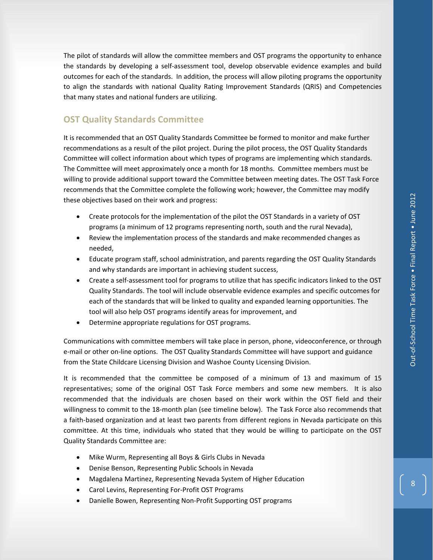The pilot of standards will allow the committee members and OST programs the opportunity to enhance the standards by developing a self-assessment tool, develop observable evidence examples and build outcomes for each of the standards. In addition, the process will allow piloting programs the opportunity to align the standards with national Quality Rating Improvement Standards (QRIS) and Competencies that many states and national funders are utilizing.

## **OST Quality Standards Committee**

It is recommended that an OST Quality Standards Committee be formed to monitor and make further recommendations as a result of the pilot project. During the pilot process, the OST Quality Standards Committee will collect information about which types of programs are implementing which standards.!! The Committee will meet approximately once a month for 18 months. Committee members must be willing to provide additional support toward the Committee between meeting dates. The OST Task Force recommends that the Committee complete the following work; however, the Committee may modify these objectives based on their work and progress:

- ! Create protocols for the implementation of the pilot the OST Standards in a variety of OST programs (a minimum of 12 programs representing north, south and the rural Nevada),
- ! Review the implementation process of the standards and make recommended changes as needed,
- ! Educate program staff, school administration, and parents regarding the OST Quality Standards and why standards are important in achieving student success,
- Create a self-assessment tool for programs to utilize that has specific indicators linked to the OST Quality Standards. The tool will include observable evidence examples and specific outcomes for each of the standards that will be linked to quality and expanded learning opportunities. The tool will also help OST programs identify areas for improvement, and
- ! Determine appropriate regulations for OST programs.

Communications with committee members will take place in person, phone, videoconference, or through e-mail or other on-line options. The OST Quality Standards Committee will have support and guidance from the State Childcare Licensing Division and Washoe County Licensing Division.

It is recommended that the committee be composed of a minimum of 13 and maximum of 15 representatives; some of the original OST Task Force members and some new members. It is also recommended that the individuals are chosen based on their work within the OST field and their willingness to commit to the 18-month plan (see timeline below). The Task Force also recommends that a faith-based organization and at least two parents from different regions in Nevada participate on this committee. At this time, individuals who stated that they would be willing to participate on the OST Quality Standards Committee are:

- . Mike Wurm, Representing all Boys & Girls Clubs in Nevada
- ! Denise Benson, Representing Public Schools in Nevada
- Magdalena Martinez, Representing Nevada System of Higher Education
- Carol Levins, Representing For-Profit OST Programs
- . Danielle Bowen, Representing Non-Profit Supporting OST programs

 $\overline{\mathbf{8}}$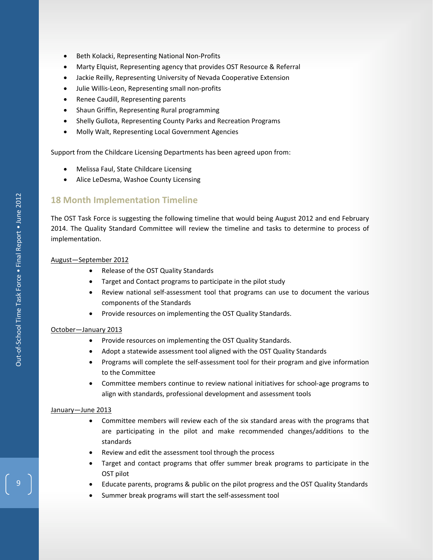- . Beth Kolacki, Representing National Non-Profits
- ! Marty Elquist, Representing agency that provides OST Resource & Referral
- ! Jackie Reilly, Representing University of Nevada Cooperative Extension
- . Julie Willis-Leon, Representing small non-profits
- **.** Renee Caudill, Representing parents
- Shaun Griffin, Representing Rural programming
- ! Shelly Gullota, Representing County Parks and Recreation Programs
- $\bullet$  Molly Walt, Representing Local Government Agencies

Support from the Childcare Licensing Departments has been agreed upon from:

- ! Melissa Faul, State Childcare Licensing
- . Alice LeDesma, Washoe County Licensing

# **18 Month Implementation Timeline**

The OST Task Force is suggesting the following timeline that would being August 2012 and end February 2014. The Quality Standard Committee will review the timeline and tasks to determine to process of implementation.

#### August—September 2012

- Release of the OST Quality Standards
- Target and Contact programs to participate in the pilot study
- Review national self-assessment tool that programs can use to document the various components of the Standards
- ! Provide resources on implementing the OST Quality Standards.

#### October—January 2013

- Provide resources on implementing the OST Quality Standards.
- Adopt a statewide assessment tool aligned with the OST Quality Standards
- Programs will complete the self-assessment tool for their program and give information to the Committee
- Committee members continue to review national initiatives for school-age programs to align with standards, professional development and assessment tools

#### January—June 2013

- ! Committee members will review each of the six standard areas with the programs that are participating in the pilot and make recommended changes/additions to the standards!!
- ! Review and edit the assessment tool through the process
- ! Target and contact programs that offer summer break programs to participate in the OST pilot
- ! Educate parents, programs & public on the pilot progress and the OST Quality Standards
- . Summer break programs will start the self-assessment tool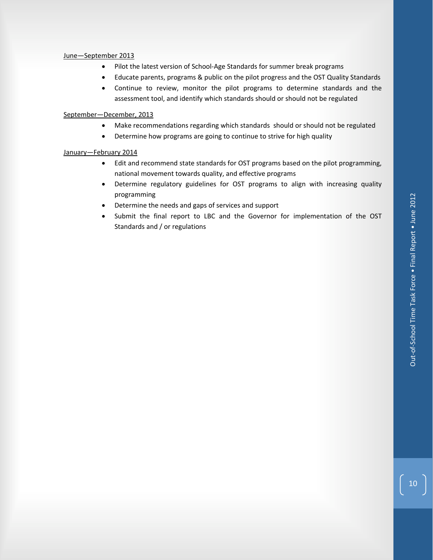#### June—September 2013

- . Pilot the latest version of School-Age Standards for summer break programs
- ! Educate parents, programs & public on the pilot progress and the OST Quality Standards
- ! Continue to review, monitor the pilot programs to determine standards and the assessment tool, and identify which standards should or should not be regulated

#### September—December, 2013

- Make recommendations regarding which standards should or should not be regulated
- Determine how programs are going to continue to strive for high quality

#### January—February 2014

- ! Edit and recommend state standards for OST programs based on the pilot programming, national movement towards quality, and effective programs
- ! Determine regulatory guidelines for OST programs to align with increasing quality programming
- . Determine the needs and gaps of services and support
- Submit the final report to LBC and the Governor for implementation of the OST Standards and / or regulations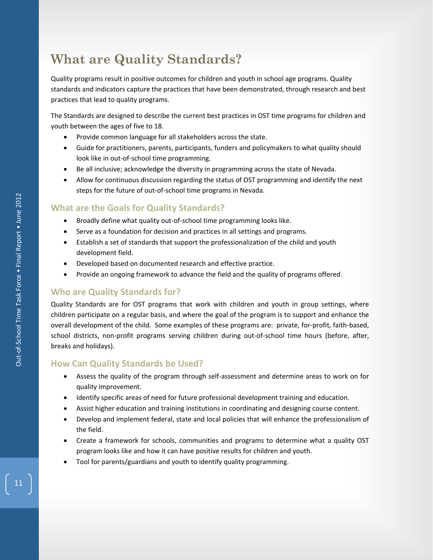# **What are Quality Standards?**

Quality programs result in positive outcomes for children and youth in school age programs. Quality standards and indicators capture the practices that have been demonstrated, through research and best practices that lead to quality programs.

The Standards are designed to describe the current best practices in OST time programs for children and youth between the ages of five to 18.

- ! Provide common language for all stakeholders across the state.
- ! Guide for practitioners, parents, participants, funders and policymakers to what quality should look like in out-of-school time programming.
- . Be all inclusive; acknowledge the diversity in programming across the state of Nevada.
- ! Allow for continuous discussion regarding the status of OST programming and identify the next steps for the future of out-of-school time programs in Nevada.

# **What are the Goals for Quality Standards?**

- . Broadly define what quality out-of-school time programming looks like.
- Serve as a foundation for decision and practices in all settings and programs.
- ! Establish a set of standards that support the professionalization of the child and youth development field.
- ! Developed based on documented research and effective practice.
- Provide an ongoing framework to advance the field and the quality of programs offered.

# **Who are Quality Standards for?**

Quality Standards are for OST programs that work with children and youth in group settings, where children participate on a regular basis, and where the goal of the program is to support and enhance the overall development of the child. Some examples of these programs are: private, for-profit, faith-based, school districts, non-profit programs serving children during out-of-school time hours (before, after, breaks and holidays).

# **How Can Quality Standards be Used?**

- Assess the quality of the program through self-assessment and determine areas to work on for quality improvement.
- ! Identify specific areas of need for future professional development training and education.
- ! Assist higher education and training institutions in coordinating and designing course content.
- ! Develop and implement federal, state and local policies that will enhance the professionalism of the field.
- ! Create a framework for schools, communities and programs to determine what a quality OST program looks like and how it can have positive results for children and youth.
- Tool for parents/guardians and youth to identify quality programming.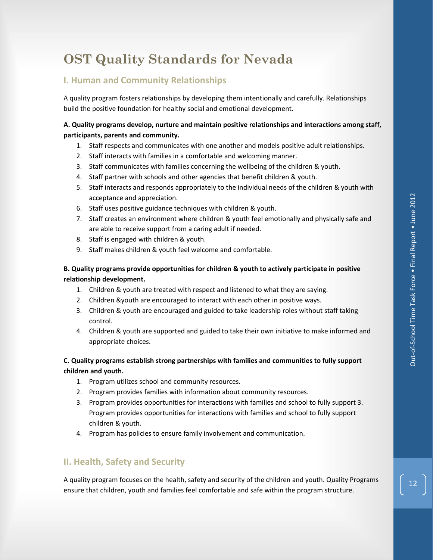# **OST Quality Standards for Nevada**

# **I. Human and Community Relationships**

A quality program fosters relationships by developing them intentionally and carefully. Relationships build the positive foundation for healthy social and emotional development.

# **A. Quality programs develop, nurture and maintain positive relationships and interactions among staff, participants, parents and community.**

- 1. Staff respects and communicates with one another and models positive adult relationships.
- 2. Staff interacts with families in a comfortable and welcoming manner.
- 3. Staff communicates with families concerning the wellbeing of the children & youth.
- 4. Staff partner with schools and other agencies that benefit children & youth.
- 5. Staff interacts and responds appropriately to the individual needs of the children & youth with acceptance and appreciation.
- 6. Staff uses positive guidance techniques with children & youth.
- 7. Staff creates an environment where children & youth feel emotionally and physically safe and are able to receive support from a caring adult if needed.
- 8. Staff is engaged with children & youth.
- 9. Staff makes children & youth feel welcome and comfortable.

# **B. Quality programs provide opportunities for children & youth to actively participate in positive relationship development.**

- 1. Children & youth are treated with respect and listened to what they are saying.!!
- 2. Children &youth are encouraged to interact with each other in positive ways.
- 3. Children & youth are encouraged and guided to take leadership roles without staff taking control.
- 4. Children & youth are supported and guided to take their own initiative to make informed and appropriate choices.

# **C. Quality programs establish strong partnerships with families and communities to fully support children and youth.**

- 1. Program utilizes school and community resources.
- 2. Program provides families with information about community resources.
- 3. Program provides opportunities for interactions with families and school to fully support 3. Program provides opportunities for interactions with families and school to fully support children & youth.!!
- 4. Program has policies to ensure family involvement and communication.

# **II. Health, Safety and Security**

A quality program focuses on the health, safety and security of the children and youth. Quality Programs ensure that children, youth and families feel comfortable and safe within the program structure.

 $\boxed{12}$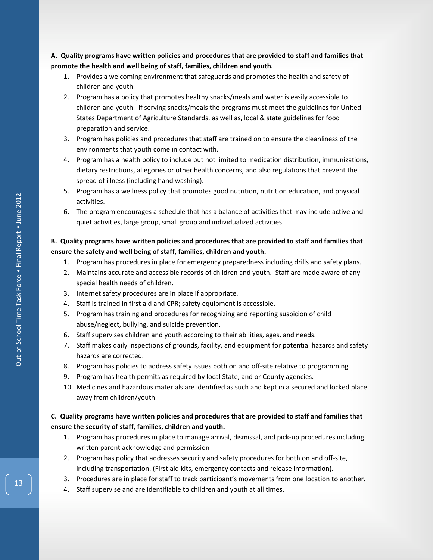**A.!!Quality programs have written policies and procedures that are provided to staff and families that promote the health and well being of staff, families, children and youth.**

- 1. Provides a welcoming environment that safeguards and promotes the health and safety of children and youth.
- 2. Program has a policy that promotes healthy snacks/meals and water is easily accessible to children and youth. If serving snacks/meals the programs must meet the guidelines for United States Department of Agriculture Standards, as well as, local & state guidelines for food preparation and service.
- 3. Program has policies and procedures that staff are trained on to ensure the cleanliness of the environments that youth come in contact with.
- 4. Program has a health policy to include but not limited to medication distribution, immunizations, dietary restrictions, allegories or other health concerns, and also regulations that prevent the spread of illness (including hand washing).
- 5. Program has a wellness policy that promotes good nutrition, nutrition education, and physical activities.
- 6. The program encourages a schedule that has a balance of activities that may include active and quiet activities, large group, small group and individualized activities.

# **B.!!Quality programs have written policies and procedures that are provided to staff and families that ensure the safety and well being of staff, families, children and youth.**

- 1. Program has procedures in place for emergency preparedness including drills and safety plans.
- 2. Maintains accurate and accessible records of children and youth. Staff are made aware of any special health needs of children.
- 3. Internet safety procedures are in place if appropriate.
- 4. Staff is trained in first aid and CPR; safety equipment is accessible.
- 5. Program has training and procedures for recognizing and reporting suspicion of child abuse/neglect, bullying, and suicide prevention.
- 6. Staff supervises children and youth according to their abilities, ages, and needs.
- 7. Staff makes daily inspections of grounds, facility, and equipment for potential hazards and safety hazards are corrected.
- 8. Program has policies to address safety issues both on and off-site relative to programming.
- 9. Program has health permits as required by local State, and or County agencies.
- 10. Medicines and hazardous materials are identified as such and kept in a secured and locked place away from children/youth.

## **C.!!Quality programs have written policies and procedures that are provided to staff and families that ensure the security of staff, families, children and youth.**

- 1. Program has procedures in place to manage arrival, dismissal, and pick-up procedures including written parent acknowledge and permission
- 2. Program has policy that addresses security and safety procedures for both on and off-site, including transportation. (First aid kits, emergency contacts and release information).
- 3. Procedures are in place for staff to track participant's movements from one location to another.
- 4. Staff supervise and are identifiable to children and youth at all times.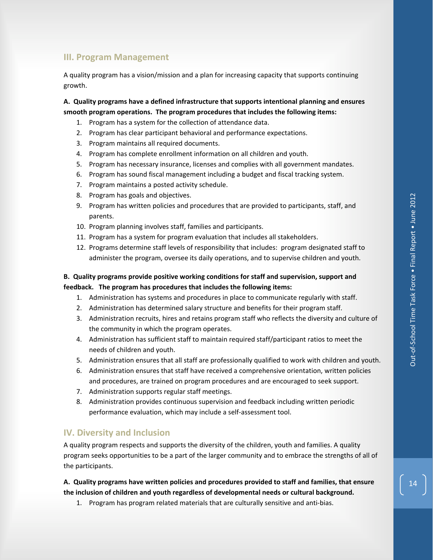# **III. Program Management**

A quality program has a vision/mission and a plan for increasing capacity that supports continuing growth.

**A.!!Quality programs have a defined infrastructure that supports intentional planning and ensures smooth program operations.!!The program procedures that includes the following items:**

- 1. Program has a system for the collection of attendance data.
- 2. Program has clear participant behavioral and performance expectations.
- 3. Program maintains all required documents.
- 4. Program has complete enrollment information on all children and youth.
- 5. Program has necessary insurance, licenses and complies with all government mandates.
- 6. Program has sound fiscal management including a budget and fiscal tracking system.
- 7. Program maintains a posted activity schedule.
- 8. Program has goals and objectives.
- 9. Program has written policies and procedures that are provided to participants, staff, and parents.
- 10. Program planning involves staff, families and participants.
- 11. Program has a system for program evaluation that includes all stakeholders.
- 12. Programs determine staff levels of responsibility that includes: program designated staff to administer the program, oversee its daily operations, and to supervise children and youth.

### **B.!!Quality programs provide positive working conditions for staff and supervision, support and feedback.!!!The program has procedures that includes the following items:**

- 1. Administration has systems and procedures in place to communicate regularly with staff.
- 2. Administration has determined salary structure and benefits for their program staff.
- 3. Administration recruits, hires and retains program staff who reflects the diversity and culture of the community in which the program operates.
- 4. Administration has sufficient staff to maintain required staff/participant ratios to meet the needs of children and youth.
- 5. Administration ensures that all staff are professionally qualified to work with children and youth.
- 6. Administration ensures that staff have received a comprehensive orientation, written policies and procedures, are trained on program procedures and are encouraged to seek support.
- 7. Administration supports regular staff meetings.
- 8. Administration provides continuous supervision and feedback including written periodic performance evaluation, which may include a self-assessment tool.

## **IV. Diversity and Inclusion**

A quality program respects and supports the diversity of the children, youth and families. A quality program seeks opportunities to be a part of the larger community and to embrace the strengths of all of the participants.

**A.!!Quality programs have written policies and procedures provided to staff and families, that ensure the inclusion of children and youth regardless of developmental needs or cultural background.**

1. Program has program related materials that are culturally sensitive and anti-bias.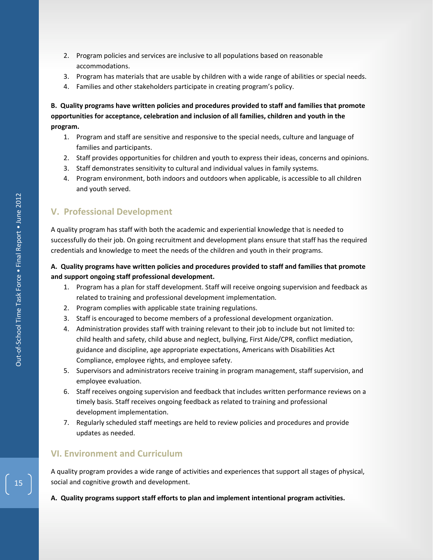- 2. Program policies and services are inclusive to all populations based on reasonable accommodations.
- 3. Program has materials that are usable by children with a wide range of abilities or special needs.
- 4. Families and other stakeholders participate in creating program's policy.

**B.!!Quality programs have written policies and procedures provided to staff and families that promote opportunities for acceptance, celebration and inclusion of all families, children and youth in the program.**

- 1. Program and staff are sensitive and responsive to the special needs, culture and language of families and participants.
- 2. Staff provides opportunities for children and youth to express their ideas, concerns and opinions.
- 3. Staff demonstrates sensitivity to cultural and individual values in family systems.
- 4. Program environment, both indoors and outdoors when applicable, is accessible to all children and youth served.

# **V.!!Professional Development**

A quality program has staff with both the academic and experiential knowledge that is needed to successfully do their job. On going recruitment and development plans ensure that staff has the required credentials and knowledge to meet the needs of the children and youth in their programs.

# **A.!!Quality programs have written policies and procedures provided to staff and families that promote and support ongoing staff professional development.**

- 1. Program has a plan for staff development. Staff will receive ongoing supervision and feedback as related to training and professional development implementation.
- 2. Program complies with applicable state training regulations.
- 3. Staff is encouraged to become members of a professional development organization.
- 4. Administration provides staff with training relevant to their job to include but not limited to: child health and safety, child abuse and neglect, bullying, First Aide/CPR, conflict mediation, guidance and discipline, age appropriate expectations, Americans with Disabilities Act Compliance, employee rights, and employee safety.
- 5. Supervisors and administrators receive training in program management, staff supervision, and employee evaluation.
- 6. Staff receives ongoing supervision and feedback that includes written performance reviews on a timely basis. Staff receives ongoing feedback as related to training and professional development implementation.
- 7. Regularly scheduled staff meetings are held to review policies and procedures and provide updates as needed.

# **VI. Environment and Curriculum**

A quality program provides a wide range of activities and experiences that support all stages of physical, social and cognitive growth and development.

#### **A.!!Quality programs support staff efforts to plan and implement intentional program activities.**

 $\begin{bmatrix} 15 \end{bmatrix}$